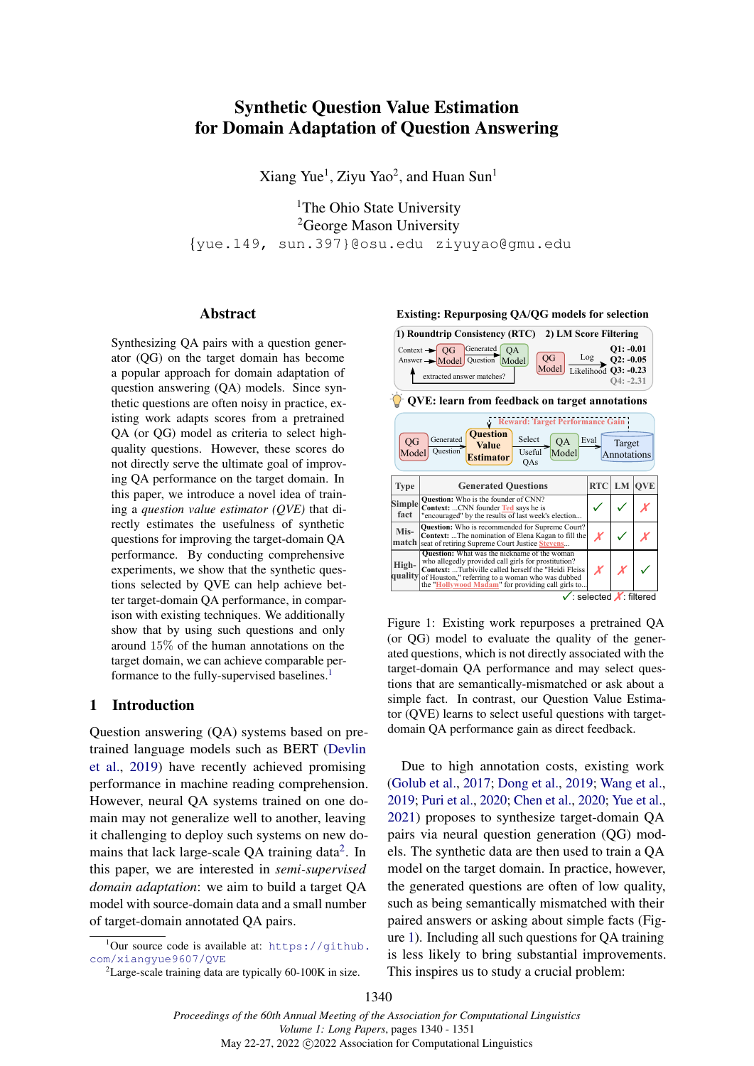# <span id="page-0-0"></span>Synthetic Question Value Estimation for Domain Adaptation of Question Answering

Xiang Yue<sup>1</sup>, Ziyu Yao<sup>2</sup>, and Huan Sun<sup>1</sup>

<sup>1</sup>The Ohio State University <sup>2</sup>George Mason University {yue.149, sun.397}@osu.edu ziyuyao@gmu.edu

## Abstract

Synthesizing QA pairs with a question generator (QG) on the target domain has become a popular approach for domain adaptation of question answering (QA) models. Since synthetic questions are often noisy in practice, existing work adapts scores from a pretrained QA (or QG) model as criteria to select highquality questions. However, these scores do not directly serve the ultimate goal of improving QA performance on the target domain. In this paper, we introduce a novel idea of training a *question value estimator (QVE)* that directly estimates the usefulness of synthetic questions for improving the target-domain QA performance. By conducting comprehensive experiments, we show that the synthetic questions selected by QVE can help achieve better target-domain QA performance, in comparison with existing techniques. We additionally show that by using such questions and only around 15% of the human annotations on the target domain, we can achieve comparable per-formance to the fully-supervised baselines.<sup>[1](#page-0-0)</sup>

## 1 Introduction

Question answering (QA) systems based on pretrained language models such as BERT [\(Devlin](#page-9-0) [et al.,](#page-9-0) [2019\)](#page-9-0) have recently achieved promising performance in machine reading comprehension. However, neural QA systems trained on one domain may not generalize well to another, leaving it challenging to deploy such systems on new do-mains that lack large-scale QA training data<sup>[2](#page-0-0)</sup>. In this paper, we are interested in *semi-supervised domain adaptation*: we aim to build a target QA model with source-domain data and a small number of target-domain annotated QA pairs.

<span id="page-0-1"></span>**Existing: Repurposing QA/QG models for selection**



Figure 1: Existing work repurposes a pretrained QA (or QG) model to evaluate the quality of the generated questions, which is not directly associated with the target-domain QA performance and may select questions that are semantically-mismatched or ask about a simple fact. In contrast, our Question Value Estimator (QVE) learns to select useful questions with targetdomain QA performance gain as direct feedback.

Due to high annotation costs, existing work [\(Golub et al.,](#page-9-1) [2017;](#page-9-1) [Dong et al.,](#page-9-2) [2019;](#page-9-2) [Wang et al.,](#page-10-0) [2019;](#page-10-0) [Puri et al.,](#page-10-1) [2020;](#page-10-1) [Chen et al.,](#page-9-3) [2020;](#page-9-3) [Yue et al.,](#page-10-2) [2021\)](#page-10-2) proposes to synthesize target-domain QA pairs via neural question generation (QG) models. The synthetic data are then used to train a QA model on the target domain. In practice, however, the generated questions are often of low quality, such as being semantically mismatched with their paired answers or asking about simple facts (Figure [1\)](#page-0-1). Including all such questions for QA training is less likely to bring substantial improvements. This inspires us to study a crucial problem:

 $^1$ Our source code is available at: [https://github.](https://github.com/xiangyue9607/QVE) [com/xiangyue9607/QVE](https://github.com/xiangyue9607/QVE)

 ${}^{2}$ Large-scale training data are typically 60-100K in size.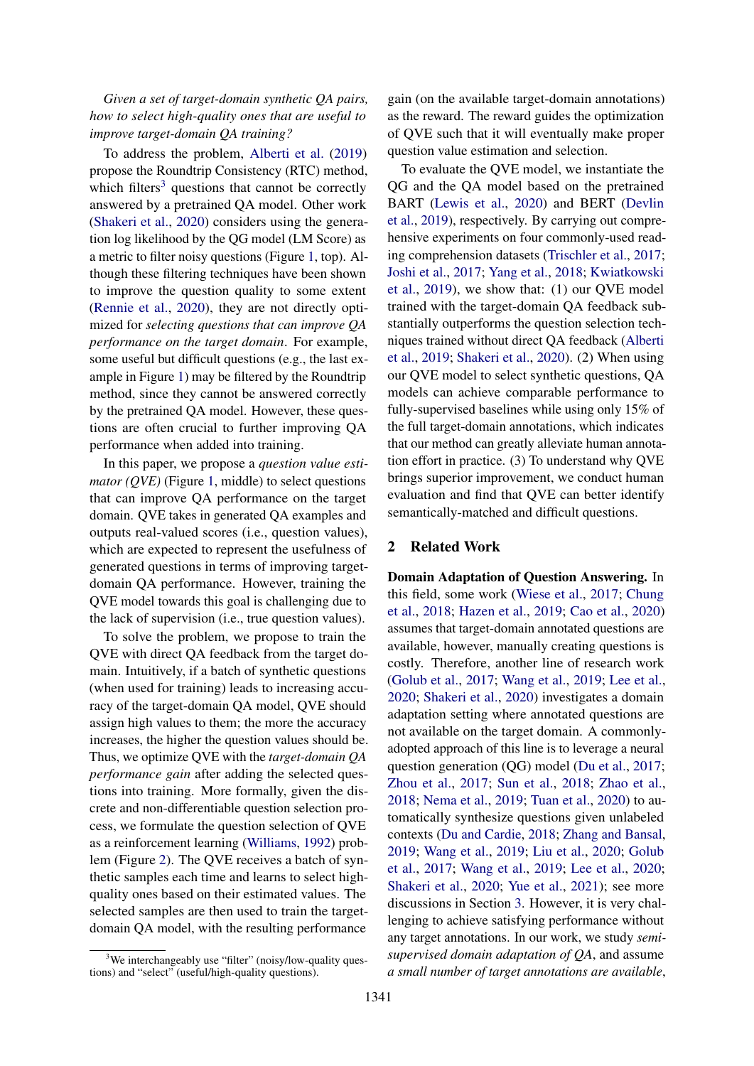*Given a set of target-domain synthetic QA pairs, how to select high-quality ones that are useful to improve target-domain QA training?*

To address the problem, [Alberti et al.](#page-8-0) [\(2019\)](#page-8-0) propose the Roundtrip Consistency (RTC) method, which filters<sup>[3](#page-0-0)</sup> questions that cannot be correctly answered by a pretrained QA model. Other work [\(Shakeri et al.,](#page-10-3) [2020\)](#page-10-3) considers using the generation log likelihood by the QG model (LM Score) as a metric to filter noisy questions (Figure [1,](#page-0-1) top). Although these filtering techniques have been shown to improve the question quality to some extent [\(Rennie et al.,](#page-10-4) [2020\)](#page-10-4), they are not directly optimized for *selecting questions that can improve QA performance on the target domain*. For example, some useful but difficult questions (e.g., the last example in Figure [1\)](#page-0-1) may be filtered by the Roundtrip method, since they cannot be answered correctly by the pretrained QA model. However, these questions are often crucial to further improving QA performance when added into training.

In this paper, we propose a *question value estimator (QVE)* (Figure [1,](#page-0-1) middle) to select questions that can improve QA performance on the target domain. QVE takes in generated QA examples and outputs real-valued scores (i.e., question values), which are expected to represent the usefulness of generated questions in terms of improving targetdomain QA performance. However, training the QVE model towards this goal is challenging due to the lack of supervision (i.e., true question values).

To solve the problem, we propose to train the QVE with direct QA feedback from the target domain. Intuitively, if a batch of synthetic questions (when used for training) leads to increasing accuracy of the target-domain QA model, QVE should assign high values to them; the more the accuracy increases, the higher the question values should be. Thus, we optimize QVE with the *target-domain QA performance gain* after adding the selected questions into training. More formally, given the discrete and non-differentiable question selection process, we formulate the question selection of QVE as a reinforcement learning [\(Williams,](#page-10-5) [1992\)](#page-10-5) problem (Figure [2\)](#page-4-0). The QVE receives a batch of synthetic samples each time and learns to select highquality ones based on their estimated values. The selected samples are then used to train the targetdomain QA model, with the resulting performance

gain (on the available target-domain annotations) as the reward. The reward guides the optimization of QVE such that it will eventually make proper question value estimation and selection.

To evaluate the QVE model, we instantiate the QG and the QA model based on the pretrained BART [\(Lewis et al.,](#page-9-4) [2020\)](#page-9-4) and BERT [\(Devlin](#page-9-0) [et al.,](#page-9-0) [2019\)](#page-9-0), respectively. By carrying out comprehensive experiments on four commonly-used reading comprehension datasets [\(Trischler et al.,](#page-10-6) [2017;](#page-10-6) [Joshi et al.,](#page-9-5) [2017;](#page-9-5) [Yang et al.,](#page-10-7) [2018;](#page-10-7) [Kwiatkowski](#page-9-6) [et al.,](#page-9-6) [2019\)](#page-9-6), we show that: (1) our QVE model trained with the target-domain QA feedback substantially outperforms the question selection techniques trained without direct QA feedback [\(Alberti](#page-8-0) [et al.,](#page-8-0) [2019;](#page-8-0) [Shakeri et al.,](#page-10-3) [2020\)](#page-10-3). (2) When using our QVE model to select synthetic questions, QA models can achieve comparable performance to fully-supervised baselines while using only 15% of the full target-domain annotations, which indicates that our method can greatly alleviate human annotation effort in practice. (3) To understand why QVE brings superior improvement, we conduct human evaluation and find that QVE can better identify semantically-matched and difficult questions.

## 2 Related Work

Domain Adaptation of Question Answering. In this field, some work [\(Wiese et al.,](#page-10-8) [2017;](#page-10-8) [Chung](#page-9-7) [et al.,](#page-9-7) [2018;](#page-9-7) [Hazen et al.,](#page-9-8) [2019;](#page-9-8) [Cao et al.,](#page-9-9) [2020\)](#page-9-9) assumes that target-domain annotated questions are available, however, manually creating questions is costly. Therefore, another line of research work [\(Golub et al.,](#page-9-1) [2017;](#page-9-1) [Wang et al.,](#page-10-0) [2019;](#page-10-0) [Lee et al.,](#page-9-10) [2020;](#page-9-10) [Shakeri et al.,](#page-10-3) [2020\)](#page-10-3) investigates a domain adaptation setting where annotated questions are not available on the target domain. A commonlyadopted approach of this line is to leverage a neural question generation (QG) model [\(Du et al.,](#page-9-11) [2017;](#page-9-11) [Zhou et al.,](#page-10-9) [2017;](#page-10-9) [Sun et al.,](#page-10-10) [2018;](#page-10-10) [Zhao et al.,](#page-10-11) [2018;](#page-10-11) [Nema et al.,](#page-10-12) [2019;](#page-10-12) [Tuan et al.,](#page-10-13) [2020\)](#page-10-13) to automatically synthesize questions given unlabeled contexts [\(Du and Cardie,](#page-9-12) [2018;](#page-9-12) [Zhang and Bansal,](#page-10-14) [2019;](#page-10-14) [Wang et al.,](#page-10-0) [2019;](#page-10-0) [Liu et al.,](#page-9-13) [2020;](#page-9-13) [Golub](#page-9-1) [et al.,](#page-9-1) [2017;](#page-9-1) [Wang et al.,](#page-10-0) [2019;](#page-10-0) [Lee et al.,](#page-9-10) [2020;](#page-9-10) [Shakeri et al.,](#page-10-3) [2020;](#page-10-3) [Yue et al.,](#page-10-2) [2021\)](#page-10-2); see more discussions in Section [3.](#page-2-0) However, it is very challenging to achieve satisfying performance without any target annotations. In our work, we study *semisupervised domain adaptation of QA*, and assume *a small number of target annotations are available*,

<sup>&</sup>lt;sup>3</sup>We interchangeably use "filter" (noisy/low-quality questions) and "select" (useful/high-quality questions).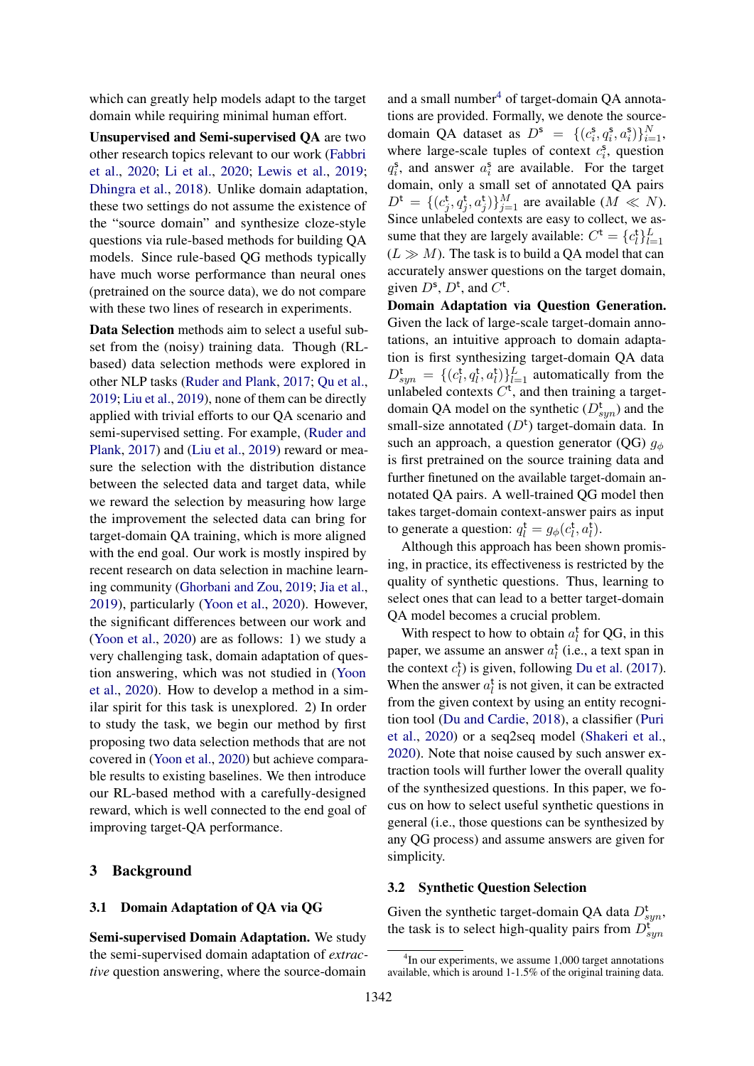which can greatly help models adapt to the target domain while requiring minimal human effort.

Unsupervised and Semi-supervised QA are two other research topics relevant to our work [\(Fabbri](#page-9-14) [et al.,](#page-9-14) [2020;](#page-9-14) [Li et al.,](#page-9-15) [2020;](#page-9-15) [Lewis et al.,](#page-9-16) [2019;](#page-9-16) [Dhingra et al.,](#page-9-17) [2018\)](#page-9-17). Unlike domain adaptation, these two settings do not assume the existence of the "source domain" and synthesize cloze-style questions via rule-based methods for building QA models. Since rule-based QG methods typically have much worse performance than neural ones (pretrained on the source data), we do not compare with these two lines of research in experiments.

Data Selection methods aim to select a useful subset from the (noisy) training data. Though (RLbased) data selection methods were explored in other NLP tasks [\(Ruder and Plank,](#page-10-15) [2017;](#page-10-15) [Qu et al.,](#page-10-16) [2019;](#page-10-16) [Liu et al.,](#page-9-18) [2019\)](#page-9-18), none of them can be directly applied with trivial efforts to our QA scenario and semi-supervised setting. For example, [\(Ruder and](#page-10-15) [Plank,](#page-10-15) [2017\)](#page-10-15) and [\(Liu et al.,](#page-9-18) [2019\)](#page-9-18) reward or measure the selection with the distribution distance between the selected data and target data, while we reward the selection by measuring how large the improvement the selected data can bring for target-domain QA training, which is more aligned with the end goal. Our work is mostly inspired by recent research on data selection in machine learning community [\(Ghorbani and Zou,](#page-9-19) [2019;](#page-9-19) [Jia et al.,](#page-9-20) [2019\)](#page-9-20), particularly [\(Yoon et al.,](#page-10-17) [2020\)](#page-10-17). However, the significant differences between our work and [\(Yoon et al.,](#page-10-17) [2020\)](#page-10-17) are as follows: 1) we study a very challenging task, domain adaptation of question answering, which was not studied in [\(Yoon](#page-10-17) [et al.,](#page-10-17) [2020\)](#page-10-17). How to develop a method in a similar spirit for this task is unexplored. 2) In order to study the task, we begin our method by first proposing two data selection methods that are not covered in [\(Yoon et al.,](#page-10-17) [2020\)](#page-10-17) but achieve comparable results to existing baselines. We then introduce our RL-based method with a carefully-designed reward, which is well connected to the end goal of improving target-QA performance.

#### <span id="page-2-0"></span>3 Background

#### 3.1 Domain Adaptation of QA via QG

Semi-supervised Domain Adaptation. We study the semi-supervised domain adaptation of *extractive* question answering, where the source-domain

and a small number $<sup>4</sup>$  $<sup>4</sup>$  $<sup>4</sup>$  of target-domain QA annota-</sup> tions are provided. Formally, we denote the sourcedomain QA dataset as  $D^s = \{ (c_i^s, q_i^s, a_i^s) \}_{i=1}^N$ , where large-scale tuples of context  $c_i^s$ , question  $q_i^s$ , and answer  $a_i^s$  are available. For the target domain, only a small set of annotated QA pairs  $D^{\text{t}} = \{ (c_j^{\text{t}}, q_j^{\text{t}}, a_j^{\text{t}}) \}_{j=1}^M$  are available  $(M \ll N)$ . Since unlabeled contexts are easy to collect, we assume that they are largely available:  $C^{\text{t}} = \{c_l^{\text{t}}\}_{l=1}^L$  $(L \gg M)$ . The task is to build a QA model that can accurately answer questions on the target domain, given  $D^s$ ,  $D^t$ , and  $C^t$ .

Domain Adaptation via Question Generation. Given the lack of large-scale target-domain annotations, an intuitive approach to domain adaptation is first synthesizing target-domain QA data  $D_{syn}^{\text{t}} = \{(c_l^{\text{t}}, q_l^{\text{t}}, a_l^{\text{t}})\}_{l=1}^L$  automatically from the unlabeled contexts  $C^t$ , and then training a targetdomain QA model on the synthetic  $(D_{syn}^t)$  and the small-size annotated  $(D<sup>t</sup>)$  target-domain data. In such an approach, a question generator (QG)  $g_{\phi}$ is first pretrained on the source training data and further finetuned on the available target-domain annotated QA pairs. A well-trained QG model then takes target-domain context-answer pairs as input to generate a question:  $q_l^{\text{t}} = g_{\phi}(c_l^{\text{t}}, a_l^{\text{t}})$ .

Although this approach has been shown promising, in practice, its effectiveness is restricted by the quality of synthetic questions. Thus, learning to select ones that can lead to a better target-domain QA model becomes a crucial problem.

With respect to how to obtain  $a_l^t$  for QG, in this paper, we assume an answer  $a_l^t$  (i.e., a text span in the context  $c_l^{\dagger}$ ) is given, following [Du et al.](#page-9-11) [\(2017\)](#page-9-11). When the answer  $a_l^t$  is not given, it can be extracted from the given context by using an entity recognition tool [\(Du and Cardie,](#page-9-12) [2018\)](#page-9-12), a classifier [\(Puri](#page-10-1) [et al.,](#page-10-1) [2020\)](#page-10-1) or a seq2seq model [\(Shakeri et al.,](#page-10-3) [2020\)](#page-10-3). Note that noise caused by such answer extraction tools will further lower the overall quality of the synthesized questions. In this paper, we focus on how to select useful synthetic questions in general (i.e., those questions can be synthesized by any QG process) and assume answers are given for simplicity.

#### 3.2 Synthetic Question Selection

Given the synthetic target-domain QA data  $D_{syn}^{\text{t}}$ , the task is to select high-quality pairs from  $D_{sym}^{\mathfrak{r}}$ 

<sup>4</sup> In our experiments, we assume 1,000 target annotations available, which is around 1-1.5% of the original training data.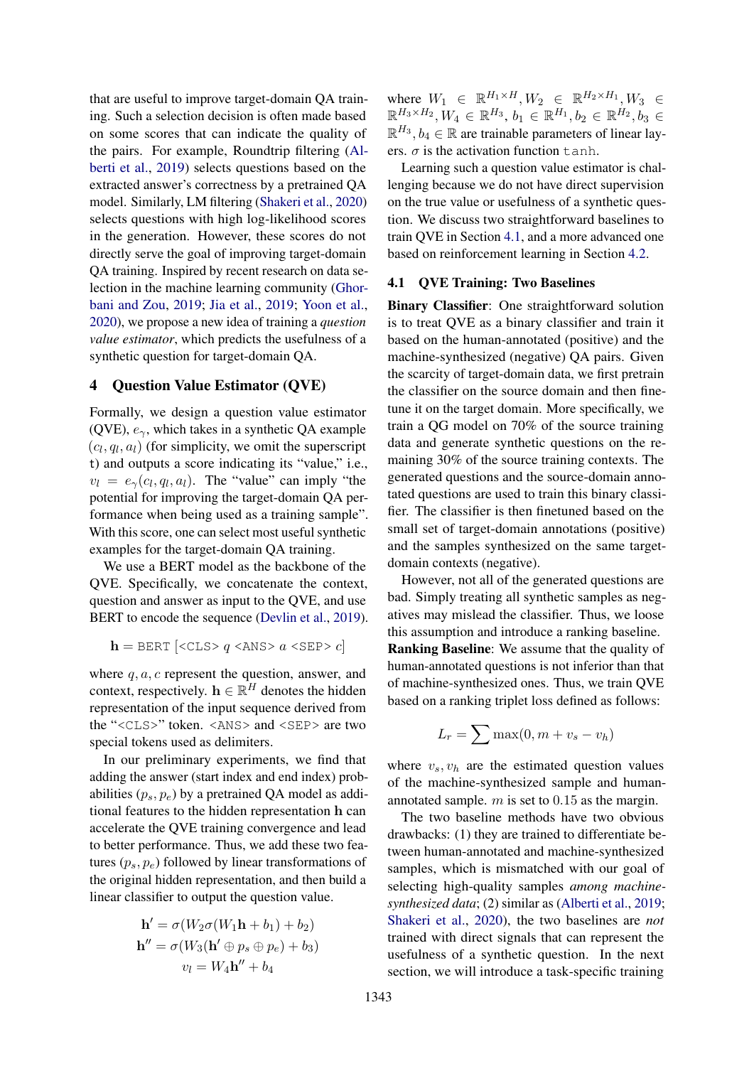that are useful to improve target-domain QA training. Such a selection decision is often made based on some scores that can indicate the quality of the pairs. For example, Roundtrip filtering [\(Al](#page-8-0)[berti et al.,](#page-8-0) [2019\)](#page-8-0) selects questions based on the extracted answer's correctness by a pretrained QA model. Similarly, LM filtering [\(Shakeri et al.,](#page-10-3) [2020\)](#page-10-3) selects questions with high log-likelihood scores in the generation. However, these scores do not directly serve the goal of improving target-domain QA training. Inspired by recent research on data selection in the machine learning community [\(Ghor](#page-9-19)[bani and Zou,](#page-9-19) [2019;](#page-9-19) [Jia et al.,](#page-9-20) [2019;](#page-9-20) [Yoon et al.,](#page-10-17) [2020\)](#page-10-17), we propose a new idea of training a *question value estimator*, which predicts the usefulness of a synthetic question for target-domain QA.

## 4 Question Value Estimator (QVE)

Formally, we design a question value estimator (QVE),  $e_{\gamma}$ , which takes in a synthetic QA example  $(c_l, q_l, a_l)$  (for simplicity, we omit the superscript t) and outputs a score indicating its "value," i.e.,  $v_l = e_\gamma(c_l, q_l, a_l)$ . The "value" can imply "the potential for improving the target-domain QA performance when being used as a training sample". With this score, one can select most useful synthetic examples for the target-domain QA training.

We use a BERT model as the backbone of the QVE. Specifically, we concatenate the context, question and answer as input to the QVE, and use BERT to encode the sequence [\(Devlin et al.,](#page-9-0) [2019\)](#page-9-0).

$$
\mathbf{h} = \text{BERT} [\text{} q \text{ } a \text{ } c]
$$

where  $q, a, c$  represent the question, answer, and context, respectively.  $\mathbf{h} \in \mathbb{R}^H$  denotes the hidden representation of the input sequence derived from the "<CLS>" token. <ANS> and <SEP> are two special tokens used as delimiters.

In our preliminary experiments, we find that adding the answer (start index and end index) probabilities  $(p_s, p_e)$  by a pretrained QA model as additional features to the hidden representation h can accelerate the QVE training convergence and lead to better performance. Thus, we add these two features  $(p_s, p_e)$  followed by linear transformations of the original hidden representation, and then build a linear classifier to output the question value.

$$
\mathbf{h}' = \sigma(W_2\sigma(W_1\mathbf{h} + b_1) + b_2)
$$

$$
\mathbf{h}'' = \sigma(W_3(\mathbf{h}' \oplus p_s \oplus p_e) + b_3)
$$

$$
v_l = W_4 \mathbf{h}'' + b_4
$$

where  $W_1 \in \mathbb{R}^{H_1 \times H}, W_2 \in \mathbb{R}^{H_2 \times H_1}, W_3 \in$  $\mathbb{R}^{H_3 \times H_2}, W_4 \in \mathbb{R}^{H_3}, b_1 \in \mathbb{R}^{H_1}, b_2 \in \mathbb{R}^{H_2}, b_3 \in$  $\mathbb{R}^{H_3}$ ,  $b_4 \in \mathbb{R}$  are trainable parameters of linear layers.  $\sigma$  is the activation function tanh.

Learning such a question value estimator is challenging because we do not have direct supervision on the true value or usefulness of a synthetic question. We discuss two straightforward baselines to train QVE in Section [4.1,](#page-3-0) and a more advanced one based on reinforcement learning in Section [4.2.](#page-4-1)

#### <span id="page-3-0"></span>4.1 QVE Training: Two Baselines

Binary Classifier: One straightforward solution is to treat QVE as a binary classifier and train it based on the human-annotated (positive) and the machine-synthesized (negative) QA pairs. Given the scarcity of target-domain data, we first pretrain the classifier on the source domain and then finetune it on the target domain. More specifically, we train a QG model on 70% of the source training data and generate synthetic questions on the remaining 30% of the source training contexts. The generated questions and the source-domain annotated questions are used to train this binary classifier. The classifier is then finetuned based on the small set of target-domain annotations (positive) and the samples synthesized on the same targetdomain contexts (negative).

However, not all of the generated questions are bad. Simply treating all synthetic samples as negatives may mislead the classifier. Thus, we loose this assumption and introduce a ranking baseline. Ranking Baseline: We assume that the quality of human-annotated questions is not inferior than that of machine-synthesized ones. Thus, we train QVE based on a ranking triplet loss defined as follows:

$$
L_r = \sum \max(0, m + v_s - v_h)
$$

where  $v_s$ ,  $v_h$  are the estimated question values of the machine-synthesized sample and humanannotated sample.  $m$  is set to 0.15 as the margin.

The two baseline methods have two obvious drawbacks: (1) they are trained to differentiate between human-annotated and machine-synthesized samples, which is mismatched with our goal of selecting high-quality samples *among machinesynthesized data*; (2) similar as [\(Alberti et al.,](#page-8-0) [2019;](#page-8-0) [Shakeri et al.,](#page-10-3) [2020\)](#page-10-3), the two baselines are *not* trained with direct signals that can represent the usefulness of a synthetic question. In the next section, we will introduce a task-specific training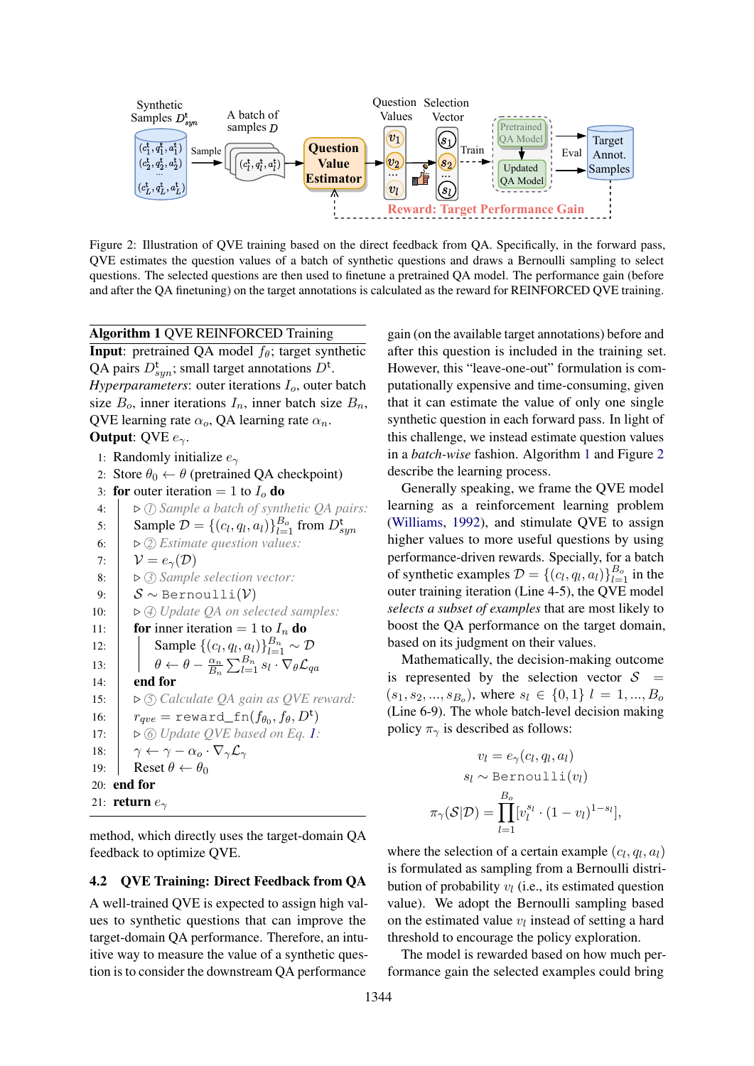<span id="page-4-0"></span>

Figure 2: Illustration of QVE training based on the direct feedback from QA. Specifically, in the forward pass, QVE estimates the question values of a batch of synthetic questions and draws a Bernoulli sampling to select questions. The selected questions are then used to finetune a pretrained QA model. The performance gain (before and after the QA finetuning) on the target annotations is calculated as the reward for REINFORCED QVE training.

<span id="page-4-2"></span>Algorithm 1 QVE REINFORCED Training **Input**: pretrained QA model  $f_\theta$ ; target synthetic QA pairs  $D^{\text{t}}_{syn}$ ; small target annotations  $D^{\text{t}}$ . *Hyperparameters*: outer iterations  $I<sub>o</sub>$ , outer batch

```
size B_0, inner iterations I_n, inner batch size B_n,
QVE learning rate \alpha_o, QA learning rate \alpha_n.
Output: QVE e_{\gamma}.
  1: Randomly initialize e_{\gamma}2: Store \theta_0 \leftarrow \theta (pretrained QA checkpoint)
  3: for outer iteration = 1 to I_0 do
  4: . 1 Sample a batch of synthetic QA pairs:
  5: Sample \mathcal{D} = \{(c_l, q_l, a_l)\}_{l=1}^{B_o} from D_{sym}^t6: \triangleright \oslash Estimate question values:
  7: \mathcal{V} = e_{\gamma}(\mathcal{D})8: \vert \triangleright \textcircled{3} Sample selection vector:
  9: S \sim \text{Bernoulli}(\mathcal{V})10: \triangleright \textcircled{4} Update QA on selected samples:
11: for inner iteration = 1 to I_n do
12: \left| \right| Sample \{(c_l, q_l, a_l)\}_{l=1}^{B_n} \sim \mathcal{D}13: \left| \theta \leftarrow \theta - \frac{\alpha_n}{B} \right|\frac{\alpha_n}{B_n}\sum_{l=1}^{B_n}s_l\cdot\nabla_{\theta}\mathcal{L}_{qa}14: \parallel end for
15: \triangleright 5) Calculate QA gain as QVE reward:
16: r_{qve} = \text{reward\_fn}(f_{\theta_0}, f_{\theta}, D^t)17: \triangleright \textcircled{\scriptsize{6}} 1:
18: \gamma \leftarrow \gamma - \alpha_o \cdot \nabla_{\gamma} \mathcal{L}_{\gamma}19: Reset \theta \leftarrow \theta_020: end for
21: return e_2method, which directly uses the target-domain QA
```
feedback to optimize QVE.

## <span id="page-4-1"></span>4.2 QVE Training: Direct Feedback from QA

A well-trained QVE is expected to assign high values to synthetic questions that can improve the target-domain QA performance. Therefore, an intuitive way to measure the value of a synthetic question is to consider the downstream QA performance

gain (on the available target annotations) before and after this question is included in the training set. However, this "leave-one-out" formulation is computationally expensive and time-consuming, given that it can estimate the value of only one single synthetic question in each forward pass. In light of this challenge, we instead estimate question values in a *batch-wise* fashion. Algorithm [1](#page-4-2) and Figure [2](#page-4-0) describe the learning process.

Generally speaking, we frame the QVE model learning as a reinforcement learning problem [\(Williams,](#page-10-5) [1992\)](#page-10-5), and stimulate QVE to assign higher values to more useful questions by using performance-driven rewards. Specially, for a batch of synthetic examples  $\mathcal{D} = \{(c_l, q_l, a_l)\}_{l=1}^{B_o}$  in the outer training iteration (Line 4-5), the QVE model *selects a subset of examples* that are most likely to boost the QA performance on the target domain, based on its judgment on their values.

Mathematically, the decision-making outcome is represented by the selection vector  $S =$  $(s_1, s_2, \ldots, s_{B_o})$ , where  $s_l \in \{0, 1\}$   $l = 1, \ldots, B_o$ (Line 6-9). The whole batch-level decision making policy  $\pi_{\gamma}$  is described as follows:

$$
v_l = e_{\gamma}(c_l, q_l, a_l)
$$

$$
s_l \sim \text{Bernoulli}(v_l)
$$

$$
\pi_{\gamma}(\mathcal{S}|\mathcal{D}) = \prod_{l=1}^{B_o} [v_l^{s_l} \cdot (1 - v_l)^{1 - s_l}],
$$

where the selection of a certain example  $(c_l, q_l, a_l)$ is formulated as sampling from a Bernoulli distribution of probability  $v_l$  (i.e., its estimated question value). We adopt the Bernoulli sampling based on the estimated value  $v_l$  instead of setting a hard threshold to encourage the policy exploration.

The model is rewarded based on how much performance gain the selected examples could bring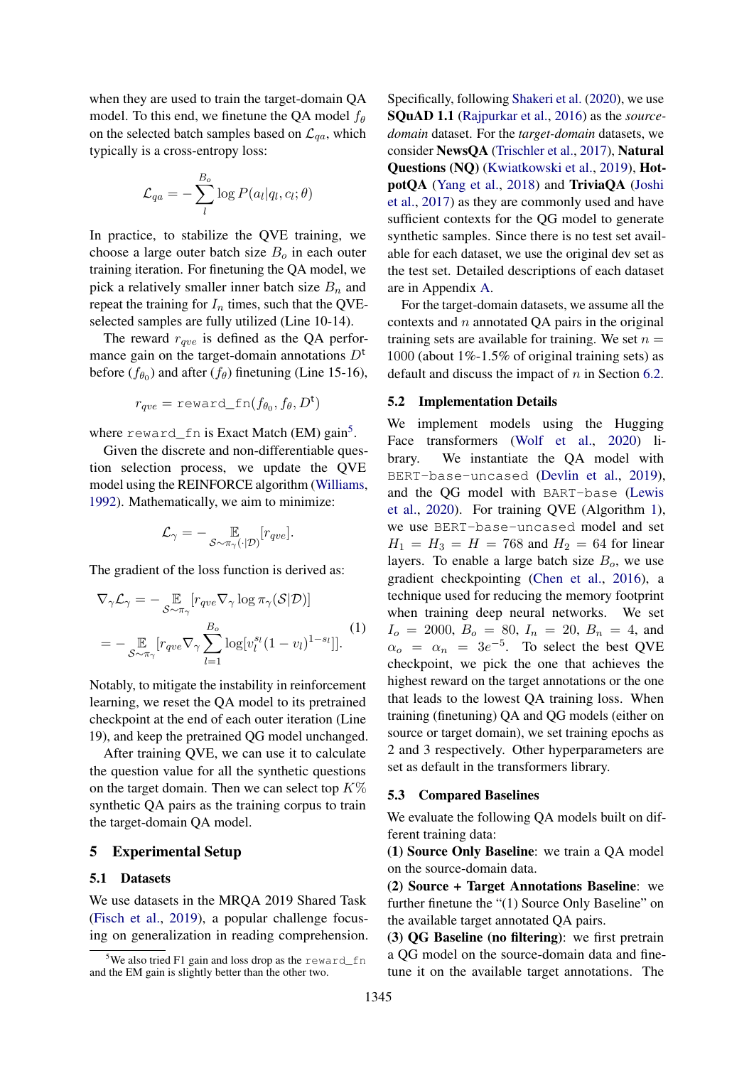when they are used to train the target-domain QA model. To this end, we finetune the QA model  $f_{\theta}$ on the selected batch samples based on  $\mathcal{L}_{aa}$ , which typically is a cross-entropy loss:

$$
\mathcal{L}_{qa} = -\sum_l^{B_o} \log P(a_l|q_l, c_l; \theta)
$$

In practice, to stabilize the QVE training, we choose a large outer batch size  $B<sub>o</sub>$  in each outer training iteration. For finetuning the QA model, we pick a relatively smaller inner batch size  $B_n$  and repeat the training for  $I_n$  times, such that the QVEselected samples are fully utilized (Line 10-14).

The reward  $r_{ave}$  is defined as the QA performance gain on the target-domain annotations  $D<sup>t</sup>$ before  $(f_{\theta_0})$  and after  $(f_{\theta})$  finetuning (Line 15-16),

$$
r_{qve} = \text{reward\_fn}(f_{\theta_0}, f_{\theta}, D^t)
$$

where reward\_fn is Exact Match (EM) gain<sup>[5](#page-0-0)</sup>.

Given the discrete and non-differentiable question selection process, we update the QVE model using the REINFORCE algorithm [\(Williams,](#page-10-5) [1992\)](#page-10-5). Mathematically, we aim to minimize:

$$
\mathcal{L}_{\gamma} = - \mathop{\mathbb{E}}_{\mathcal{S} \sim \pi_{\gamma}(\cdot | \mathcal{D})} [r_{qve}].
$$

The gradient of the loss function is derived as:

$$
\nabla_{\gamma} \mathcal{L}_{\gamma} = - \mathop{\mathbb{E}}_{\mathcal{S} \sim \pi_{\gamma}} [r_{qve} \nabla_{\gamma} \log \pi_{\gamma}(\mathcal{S}|\mathcal{D})]
$$
  
= - \mathop{\mathbb{E}}\_{\mathcal{S} \sim \pi\_{\gamma}} [r\_{qve} \nabla\_{\gamma} \sum\_{l=1}^{B\_o} \log[v\_l^{s\_l}(1 - v\_l)^{1 - s\_l}]]. (1)

Notably, to mitigate the instability in reinforcement learning, we reset the QA model to its pretrained checkpoint at the end of each outer iteration (Line 19), and keep the pretrained QG model unchanged.

After training QVE, we can use it to calculate the question value for all the synthetic questions on the target domain. Then we can select top  $K\%$ synthetic QA pairs as the training corpus to train the target-domain QA model.

### 5 Experimental Setup

#### 5.1 Datasets

We use datasets in the MRQA 2019 Shared Task [\(Fisch et al.,](#page-9-21) [2019\)](#page-9-21), a popular challenge focusing on generalization in reading comprehension. Specifically, following [Shakeri et al.](#page-10-3) [\(2020\)](#page-10-3), we use SQuAD 1.1 [\(Rajpurkar et al.,](#page-10-18) [2016\)](#page-10-18) as the *sourcedomain* dataset. For the *target-domain* datasets, we consider NewsQA [\(Trischler et al.,](#page-10-6) [2017\)](#page-10-6), Natural Questions (NQ) [\(Kwiatkowski et al.,](#page-9-6) [2019\)](#page-9-6), HotpotQA [\(Yang et al.,](#page-10-7) [2018\)](#page-10-7) and TriviaQA [\(Joshi](#page-9-5) [et al.,](#page-9-5) [2017\)](#page-9-5) as they are commonly used and have sufficient contexts for the QG model to generate synthetic samples. Since there is no test set available for each dataset, we use the original dev set as the test set. Detailed descriptions of each dataset are in Appendix [A.](#page-11-0)

For the target-domain datasets, we assume all the contexts and  $n$  annotated QA pairs in the original training sets are available for training. We set  $n =$ 1000 (about  $1\%$ -1.5% of original training sets) as default and discuss the impact of  $n$  in Section [6.2.](#page-6-0)

#### 5.2 Implementation Details

<span id="page-5-0"></span>We implement models using the Hugging Face transformers [\(Wolf et al.,](#page-10-19) [2020\)](#page-10-19) library. We instantiate the QA model with BERT-base-uncased [\(Devlin et al.,](#page-9-0) [2019\)](#page-9-0), and the QG model with BART-base [\(Lewis](#page-9-4) [et al.,](#page-9-4) [2020\)](#page-9-4). For training QVE (Algorithm [1\)](#page-4-2), we use BERT-base-uncased model and set  $H_1 = H_3 = H = 768$  and  $H_2 = 64$  for linear layers. To enable a large batch size  $B<sub>o</sub>$ , we use gradient checkpointing [\(Chen et al.,](#page-9-22) [2016\)](#page-9-22), a technique used for reducing the memory footprint when training deep neural networks. We set  $I_o = 2000, B_o = 80, I_n = 20, B_n = 4,$  and  $\alpha_o = \alpha_n = 3e^{-5}$ . To select the best QVE checkpoint, we pick the one that achieves the highest reward on the target annotations or the one that leads to the lowest QA training loss. When training (finetuning) QA and QG models (either on source or target domain), we set training epochs as 2 and 3 respectively. Other hyperparameters are set as default in the transformers library.

#### 5.3 Compared Baselines

We evaluate the following QA models built on different training data:

(1) Source Only Baseline: we train a QA model on the source-domain data.

(2) Source + Target Annotations Baseline: we further finetune the "(1) Source Only Baseline" on the available target annotated QA pairs.

(3) QG Baseline (no filtering): we first pretrain a QG model on the source-domain data and finetune it on the available target annotations. The

 $5$ We also tried F1 gain and loss drop as the reward\_fn and the EM gain is slightly better than the other two.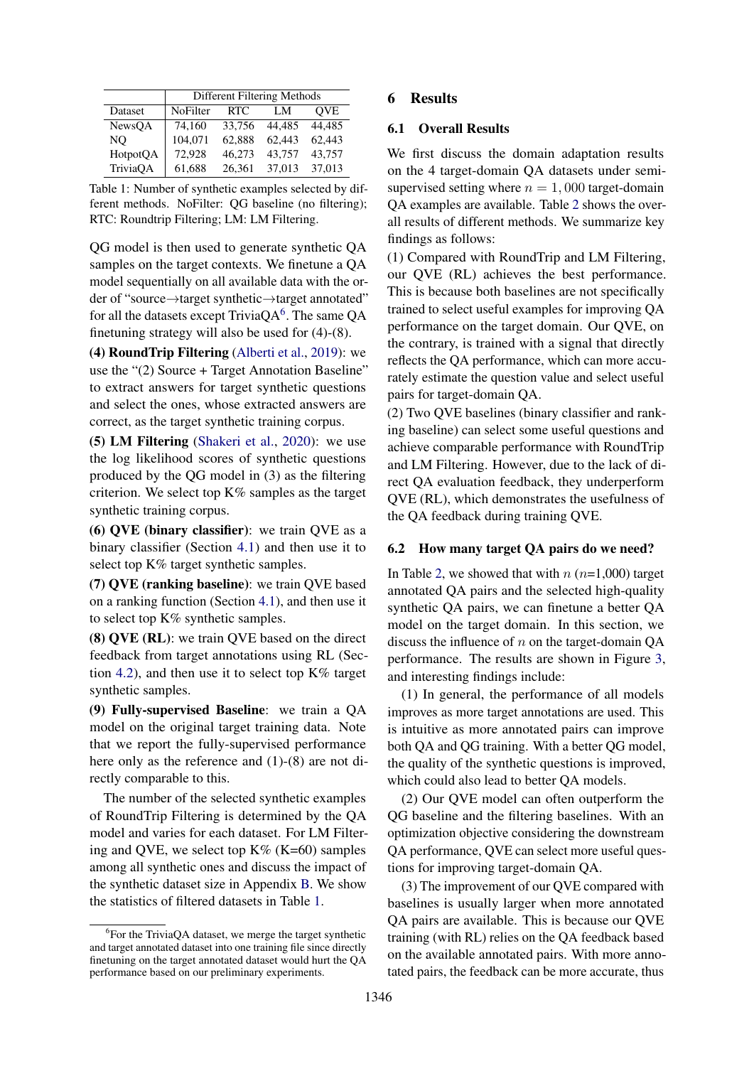<span id="page-6-1"></span>

|          | Different Filtering Methods |        |        |            |  |  |  |
|----------|-----------------------------|--------|--------|------------|--|--|--|
| Dataset  | NoFilter                    | RTC    | LM     | <b>OVE</b> |  |  |  |
| NewsQA   | 74,160                      | 33,756 | 44.485 | 44.485     |  |  |  |
| NO       | 104,071                     | 62.888 | 62.443 | 62.443     |  |  |  |
| HotpotQA | 72,928                      | 46,273 | 43.757 | 43,757     |  |  |  |
| TriviaQA | 61,688                      | 26,361 | 37.013 | 37,013     |  |  |  |

Table 1: Number of synthetic examples selected by different methods. NoFilter: QG baseline (no filtering); RTC: Roundtrip Filtering; LM: LM Filtering.

QG model is then used to generate synthetic QA samples on the target contexts. We finetune a QA model sequentially on all available data with the order of "source→target synthetic→target annotated" for all the datasets except TriviaQA $^6$  $^6$ . The same QA finetuning strategy will also be used for (4)-(8).

(4) RoundTrip Filtering [\(Alberti et al.,](#page-8-0) [2019\)](#page-8-0): we use the "(2) Source + Target Annotation Baseline" to extract answers for target synthetic questions and select the ones, whose extracted answers are correct, as the target synthetic training corpus.

(5) LM Filtering [\(Shakeri et al.,](#page-10-3) [2020\)](#page-10-3): we use the log likelihood scores of synthetic questions produced by the QG model in (3) as the filtering criterion. We select top  $K\%$  samples as the target synthetic training corpus.

(6) QVE (binary classifier): we train QVE as a binary classifier (Section [4.1\)](#page-3-0) and then use it to select top K% target synthetic samples.

(7) QVE (ranking baseline): we train QVE based on a ranking function (Section [4.1\)](#page-3-0), and then use it to select top K% synthetic samples.

(8) QVE (RL): we train QVE based on the direct feedback from target annotations using RL (Sec-tion [4.2\)](#page-4-1), and then use it to select top  $K\%$  target synthetic samples.

(9) Fully-supervised Baseline: we train a QA model on the original target training data. Note that we report the fully-supervised performance here only as the reference and (1)-(8) are not directly comparable to this.

The number of the selected synthetic examples of RoundTrip Filtering is determined by the QA model and varies for each dataset. For LM Filtering and QVE, we select top  $K\%$  (K=60) samples among all synthetic ones and discuss the impact of the synthetic dataset size in Appendix [B.](#page-11-1) We show the statistics of filtered datasets in Table [1.](#page-6-1)

## 6 Results

#### 6.1 Overall Results

We first discuss the domain adaptation results on the 4 target-domain QA datasets under semisupervised setting where  $n = 1,000$  target-domain QA examples are available. Table [2](#page-7-0) shows the overall results of different methods. We summarize key findings as follows:

(1) Compared with RoundTrip and LM Filtering, our QVE (RL) achieves the best performance. This is because both baselines are not specifically trained to select useful examples for improving QA performance on the target domain. Our QVE, on the contrary, is trained with a signal that directly reflects the QA performance, which can more accurately estimate the question value and select useful pairs for target-domain QA.

(2) Two QVE baselines (binary classifier and ranking baseline) can select some useful questions and achieve comparable performance with RoundTrip and LM Filtering. However, due to the lack of direct QA evaluation feedback, they underperform QVE (RL), which demonstrates the usefulness of the QA feedback during training QVE.

#### <span id="page-6-0"></span>6.2 How many target QA pairs do we need?

In Table [2,](#page-7-0) we showed that with  $n (n=1,000)$  target annotated QA pairs and the selected high-quality synthetic QA pairs, we can finetune a better QA model on the target domain. In this section, we discuss the influence of  $n$  on the target-domain QA performance. The results are shown in Figure [3,](#page-7-1) and interesting findings include:

(1) In general, the performance of all models improves as more target annotations are used. This is intuitive as more annotated pairs can improve both QA and QG training. With a better QG model, the quality of the synthetic questions is improved, which could also lead to better QA models.

(2) Our QVE model can often outperform the QG baseline and the filtering baselines. With an optimization objective considering the downstream QA performance, QVE can select more useful questions for improving target-domain QA.

(3) The improvement of our QVE compared with baselines is usually larger when more annotated QA pairs are available. This is because our QVE training (with RL) relies on the QA feedback based on the available annotated pairs. With more annotated pairs, the feedback can be more accurate, thus

<sup>&</sup>lt;sup>6</sup>For the TriviaQA dataset, we merge the target synthetic and target annotated dataset into one training file since directly finetuning on the target annotated dataset would hurt the QA performance based on our preliminary experiments.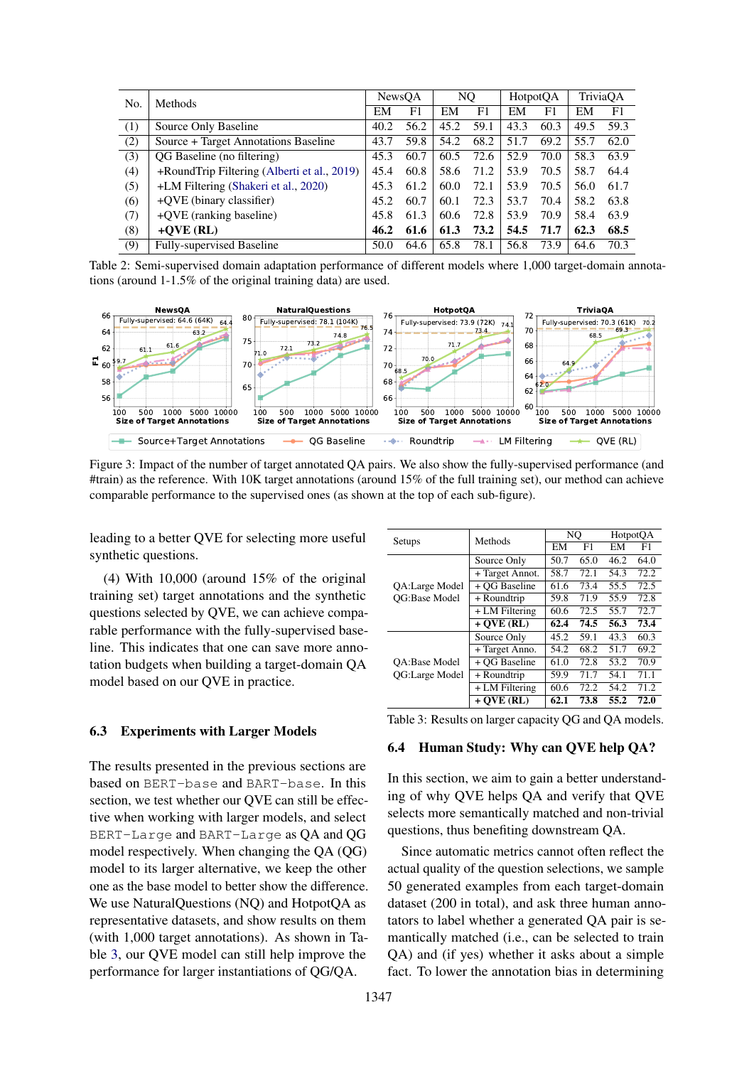<span id="page-7-0"></span>

| No. | <b>Methods</b>                              |      | NewsOA |      | NQ.  |      | HotpotOA |      | TriviaOA |  |
|-----|---------------------------------------------|------|--------|------|------|------|----------|------|----------|--|
|     |                                             | EM   | F1     | EM   | F1   | EM   | F1       | EM   | F1       |  |
| (1) | Source Only Baseline                        | 40.2 | 56.2   | 45.2 | 59.1 | 43.3 | 60.3     | 49.5 | 59.3     |  |
| (2) | Source + Target Annotations Baseline        | 43.7 | 59.8   | 54.2 | 68.2 | 51.7 | 69.2     | 55.7 | 62.0     |  |
| (3) | QG Baseline (no filtering)                  | 45.3 | 60.7   | 60.5 | 72.6 | 52.9 | 70.0     | 58.3 | 63.9     |  |
| (4) | +RoundTrip Filtering (Alberti et al., 2019) | 45.4 | 60.8   | 58.6 | 71.2 | 53.9 | 70.5     | 58.7 | 64.4     |  |
| (5) | +LM Filtering (Shakeri et al., 2020)        | 45.3 | 61.2   | 60.0 | 72.1 | 53.9 | 70.5     | 56.0 | 61.7     |  |
| (6) | +QVE (binary classifier)                    | 45.2 | 60.7   | 60.1 | 72.3 | 53.7 | 70.4     | 58.2 | 63.8     |  |
| (7) | +QVE (ranking baseline)                     |      | 61.3   | 60.6 | 72.8 | 53.9 | 70.9     | 58.4 | 63.9     |  |
| (8) | $+OVE$ (RL)                                 | 46.2 | 61.6   | 61.3 | 73.2 | 54.5 | 71.7     | 62.3 | 68.5     |  |
| (9) | Fully-supervised Baseline                   | 50.0 | 64.6   | 65.8 | 78.1 | 56.8 | 73.9     | 64.6 | 70.3     |  |

Table 2: Semi-supervised domain adaptation performance of different models where 1,000 target-domain annotations (around 1-1.5% of the original training data) are used.

<span id="page-7-1"></span>

Figure 3: Impact of the number of target annotated QA pairs. We also show the fully-supervised performance (and #train) as the reference. With 10K target annotations (around 15% of the full training set), our method can achieve comparable performance to the supervised ones (as shown at the top of each sub-figure).

leading to a better QVE for selecting more useful synthetic questions.

(4) With 10,000 (around 15% of the original training set) target annotations and the synthetic questions selected by QVE, we can achieve comparable performance with the fully-supervised baseline. This indicates that one can save more annotation budgets when building a target-domain QA model based on our QVE in practice.

#### 6.3 Experiments with Larger Models

The results presented in the previous sections are based on BERT-base and BART-base. In this section, we test whether our QVE can still be effective when working with larger models, and select BERT-Large and BART-Large as QA and QG model respectively. When changing the QA (QG) model to its larger alternative, we keep the other one as the base model to better show the difference. We use NaturalQuestions (NQ) and HotpotQA as representative datasets, and show results on them (with 1,000 target annotations). As shown in Table [3,](#page-7-2) our QVE model can still help improve the performance for larger instantiations of QG/QA.

<span id="page-7-2"></span>

| Setups               | Methods         | NO   |      | HotpotOA |      |  |
|----------------------|-----------------|------|------|----------|------|--|
|                      |                 | EM   | F1   | EM       | F1   |  |
|                      | Source Only     | 50.7 | 65.0 | 46.2     | 64.0 |  |
|                      | + Target Annot. | 58.7 | 72.1 | 54.3     | 72.2 |  |
| QA:Large Model       | + OG Baseline   | 61.6 | 73.4 | 55.5     | 72.5 |  |
| <b>OG:Base Model</b> | + Roundtrip     | 59.8 | 71.9 | 55.9     | 72.8 |  |
|                      | + LM Filtering  | 60.6 | 72.5 | 55.7     | 72.7 |  |
|                      | $+ OVE (RL)$    | 62.4 | 74.5 | 56.3     | 73.4 |  |
|                      | Source Only     | 45.2 | 59.1 | 43.3     | 60.3 |  |
|                      | + Target Anno.  | 54.2 | 68.2 | 51.7     | 69.2 |  |
| <b>OA:Base Model</b> | + OG Baseline   | 61.0 | 72.8 | 53.2     | 70.9 |  |
| OG:Large Model       | + Roundtrip     | 59.9 | 71.7 | 54.1     | 71.1 |  |
|                      | + LM Filtering  | 60.6 | 72.2 | 54.2     | 71.2 |  |
|                      | $+ OVE (RL)$    | 62.1 | 73.8 | 55.2     | 72.0 |  |

Table 3: Results on larger capacity QG and QA models.

#### 6.4 Human Study: Why can QVE help QA?

In this section, we aim to gain a better understanding of why QVE helps QA and verify that QVE selects more semantically matched and non-trivial questions, thus benefiting downstream QA.

Since automatic metrics cannot often reflect the actual quality of the question selections, we sample 50 generated examples from each target-domain dataset (200 in total), and ask three human annotators to label whether a generated QA pair is semantically matched (i.e., can be selected to train QA) and (if yes) whether it asks about a simple fact. To lower the annotation bias in determining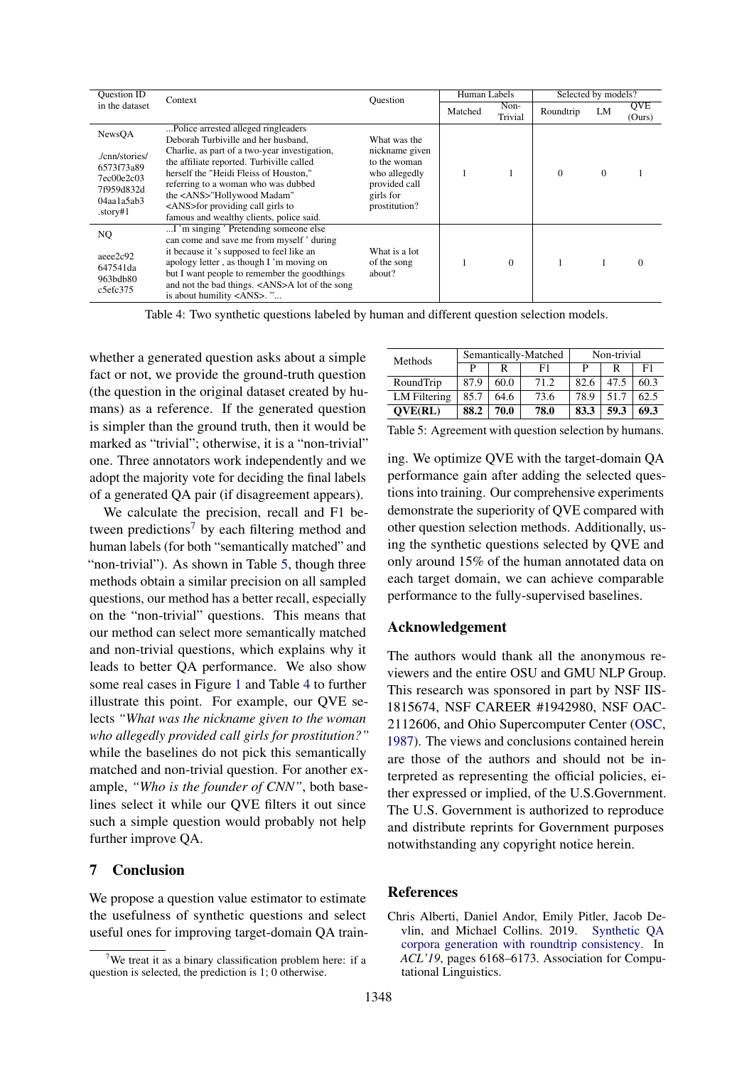<span id="page-8-2"></span>

| <b>Ouestion ID</b>                                                                                | Context                                                                                                                                                                                                                                                                                                                                                                                | Ouestion                                                                                                       | Human Labels |                 | Selected by models? |              |                      |
|---------------------------------------------------------------------------------------------------|----------------------------------------------------------------------------------------------------------------------------------------------------------------------------------------------------------------------------------------------------------------------------------------------------------------------------------------------------------------------------------------|----------------------------------------------------------------------------------------------------------------|--------------|-----------------|---------------------|--------------|----------------------|
| in the dataset                                                                                    |                                                                                                                                                                                                                                                                                                                                                                                        |                                                                                                                | Matched      | Non-<br>Trivial | Roundtrip           | LM           | <b>QVE</b><br>(Ours) |
| NewsQA<br>/cnn/stories/<br>6573f73a89<br>7ec00e2c03<br>7f959d832d<br>$04$ aala $5ab3$<br>.story#1 | Police arrested alleged ringleaders.<br>Deborah Turbiville and her husband.<br>Charlie, as part of a two-year investigation,<br>the affiliate reported. Turbiville called<br>herself the "Heidi Fleiss of Houston,"<br>referring to a woman who was dubbed<br>the <ans>"Hollywood Madam"<br/><ans>for providing call girls to<br/>famous and wealthy clients, police said.</ans></ans> | What was the<br>nickname given<br>to the woman<br>who allegedly<br>provided call<br>girls for<br>prostitution? |              |                 | $\mathbf{0}$        | $\mathbf{0}$ |                      |
| NQ.<br>aeee2c92<br>647541da<br>963bdb80<br>c5efc375                                               | I 'm singing' Pretending someone else<br>can come and save me from myself ' during<br>it because it 's supposed to feel like an<br>apology letter, as though I'm moving on<br>but I want people to remember the goodthings<br>and not the bad things. <ans>A lot of the song<br/>is about humility <ans>. "</ans></ans>                                                                | What is a lot<br>of the song<br>about?                                                                         |              | $\Omega$        | 1                   |              |                      |

Table 4: Two synthetic questions labeled by human and different question selection models.

whether a generated question asks about a simple fact or not, we provide the ground-truth question (the question in the original dataset created by humans) as a reference. If the generated question is simpler than the ground truth, then it would be marked as "trivial"; otherwise, it is a "non-trivial" one. Three annotators work independently and we adopt the majority vote for deciding the final labels of a generated QA pair (if disagreement appears).

We calculate the precision, recall and F1 be-tween predictions<sup>[7](#page-0-0)</sup> by each filtering method and human labels (for both "semantically matched" and "non-trivial"). As shown in Table [5,](#page-8-1) though three methods obtain a similar precision on all sampled questions, our method has a better recall, especially on the "non-trivial" questions. This means that our method can select more semantically matched and non-trivial questions, which explains why it leads to better QA performance. We also show some real cases in Figure [1](#page-0-1) and Table [4](#page-8-2) to further illustrate this point. For example, our QVE selects *"What was the nickname given to the woman who allegedly provided call girls for prostitution?"* while the baselines do not pick this semantically matched and non-trivial question. For another example, *"Who is the founder of CNN"*, both baselines select it while our QVE filters it out since such a simple question would probably not help further improve QA.

# 7 Conclusion

We propose a question value estimator to estimate the usefulness of synthetic questions and select useful ones for improving target-domain QA train-

<span id="page-8-1"></span>

| Methods        | Semantically-Matched |      |      | Non-trivial |      |      |
|----------------|----------------------|------|------|-------------|------|------|
|                | D                    | R    | F1   | P           | R    | F1   |
| RoundTrip      | 87.9                 | 60.0 | 71.2 | 82.6        | 47.5 | 60.3 |
| LM Filtering   | 85.7                 | 64.6 | 73.6 | 78.9        | 51.7 | 62.5 |
| <b>OVE(RL)</b> | 88.2                 | 70.0 | 78.0 | 83.3        | 59.3 | 69.3 |

Table 5: Agreement with question selection by humans.

ing. We optimize QVE with the target-domain QA performance gain after adding the selected questions into training. Our comprehensive experiments demonstrate the superiority of QVE compared with other question selection methods. Additionally, using the synthetic questions selected by QVE and only around 15% of the human annotated data on each target domain, we can achieve comparable performance to the fully-supervised baselines.

#### Acknowledgement

The authors would thank all the anonymous reviewers and the entire OSU and GMU NLP Group. This research was sponsored in part by NSF IIS-1815674, NSF CAREER #1942980, NSF OAC-2112606, and Ohio Supercomputer Center [\(OSC,](#page-10-20) [1987\)](#page-10-20). The views and conclusions contained herein are those of the authors and should not be interpreted as representing the official policies, either expressed or implied, of the U.S.Government. The U.S. Government is authorized to reproduce and distribute reprints for Government purposes notwithstanding any copyright notice herein.

## References

<span id="page-8-0"></span>Chris Alberti, Daniel Andor, Emily Pitler, Jacob Devlin, and Michael Collins. 2019. [Synthetic QA](https://doi.org/10.18653/v1/p19-1620) [corpora generation with roundtrip consistency.](https://doi.org/10.18653/v1/p19-1620) In *ACL'19*, pages 6168–6173. Association for Computational Linguistics.

We treat it as a binary classification problem here: if a question is selected, the prediction is 1; 0 otherwise.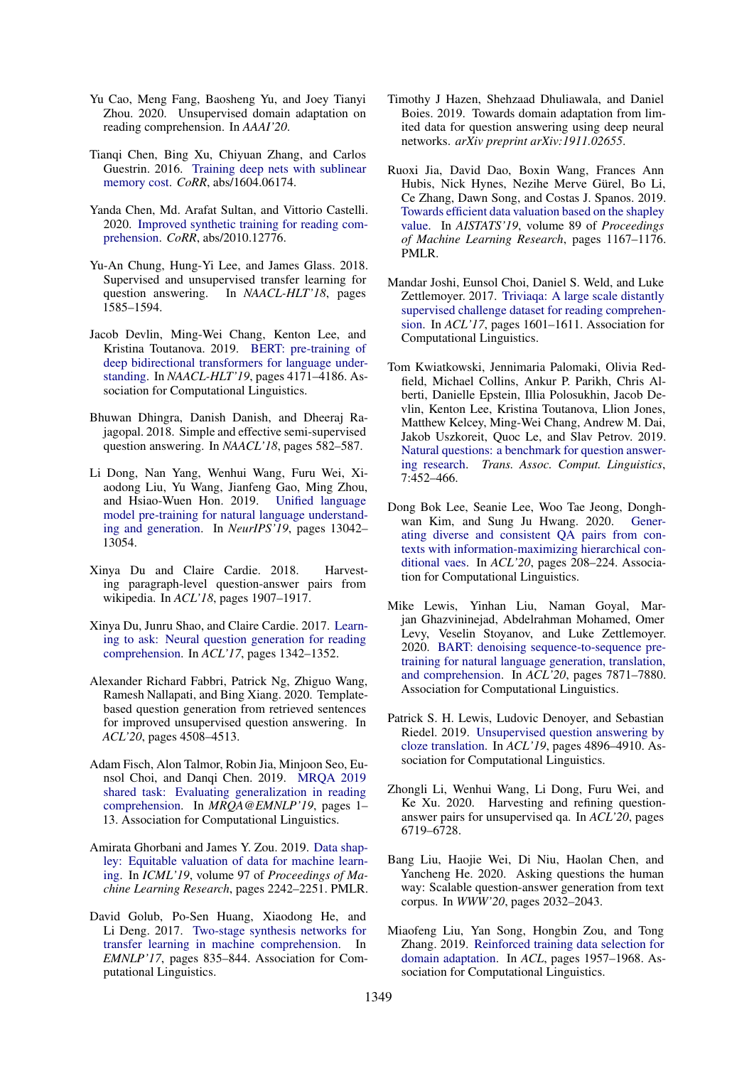- <span id="page-9-9"></span>Yu Cao, Meng Fang, Baosheng Yu, and Joey Tianyi Zhou. 2020. Unsupervised domain adaptation on reading comprehension. In *AAAI'20*.
- <span id="page-9-22"></span>Tianqi Chen, Bing Xu, Chiyuan Zhang, and Carlos Guestrin. 2016. [Training deep nets with sublinear](http://arxiv.org/abs/1604.06174) [memory cost.](http://arxiv.org/abs/1604.06174) *CoRR*, abs/1604.06174.
- <span id="page-9-3"></span>Yanda Chen, Md. Arafat Sultan, and Vittorio Castelli. 2020. [Improved synthetic training for reading com](http://arxiv.org/abs/2010.12776)[prehension.](http://arxiv.org/abs/2010.12776) *CoRR*, abs/2010.12776.
- <span id="page-9-7"></span>Yu-An Chung, Hung-Yi Lee, and James Glass. 2018. Supervised and unsupervised transfer learning for question answering. In *NAACL-HLT'18*, pages 1585–1594.
- <span id="page-9-0"></span>Jacob Devlin, Ming-Wei Chang, Kenton Lee, and Kristina Toutanova. 2019. [BERT: pre-training of](https://doi.org/10.18653/v1/n19-1423) [deep bidirectional transformers for language under](https://doi.org/10.18653/v1/n19-1423)[standing.](https://doi.org/10.18653/v1/n19-1423) In *NAACL-HLT'19*, pages 4171–4186. Association for Computational Linguistics.
- <span id="page-9-17"></span>Bhuwan Dhingra, Danish Danish, and Dheeraj Rajagopal. 2018. Simple and effective semi-supervised question answering. In *NAACL'18*, pages 582–587.
- <span id="page-9-2"></span>Li Dong, Nan Yang, Wenhui Wang, Furu Wei, Xiaodong Liu, Yu Wang, Jianfeng Gao, Ming Zhou, and Hsiao-Wuen Hon. 2019. [Unified language](http://papers.nips.cc/paper/9464-unified-language-model-pre-training-for-natural-language-understanding-and-generation) [model pre-training for natural language understand](http://papers.nips.cc/paper/9464-unified-language-model-pre-training-for-natural-language-understanding-and-generation)[ing and generation.](http://papers.nips.cc/paper/9464-unified-language-model-pre-training-for-natural-language-understanding-and-generation) In *NeurIPS'19*, pages 13042– 13054.
- <span id="page-9-12"></span>Xinya Du and Claire Cardie. 2018. Harvesting paragraph-level question-answer pairs from wikipedia. In *ACL'18*, pages 1907–1917.
- <span id="page-9-11"></span>Xinya Du, Junru Shao, and Claire Cardie. 2017. [Learn](https://www.aclweb.org/anthology/P17-1123.pdf)[ing to ask: Neural question generation for reading](https://www.aclweb.org/anthology/P17-1123.pdf) [comprehension.](https://www.aclweb.org/anthology/P17-1123.pdf) In *ACL'17*, pages 1342–1352.
- <span id="page-9-14"></span>Alexander Richard Fabbri, Patrick Ng, Zhiguo Wang, Ramesh Nallapati, and Bing Xiang. 2020. Templatebased question generation from retrieved sentences for improved unsupervised question answering. In *ACL'20*, pages 4508–4513.
- <span id="page-9-21"></span>Adam Fisch, Alon Talmor, Robin Jia, Minjoon Seo, Eunsol Choi, and Danqi Chen. 2019. [MRQA 2019](https://doi.org/10.18653/v1/D19-5801) [shared task: Evaluating generalization in reading](https://doi.org/10.18653/v1/D19-5801) [comprehension.](https://doi.org/10.18653/v1/D19-5801) In *MRQA@EMNLP'19*, pages 1– 13. Association for Computational Linguistics.
- <span id="page-9-19"></span>Amirata Ghorbani and James Y. Zou. 2019. [Data shap](http://proceedings.mlr.press/v97/ghorbani19c.html)[ley: Equitable valuation of data for machine learn](http://proceedings.mlr.press/v97/ghorbani19c.html)[ing.](http://proceedings.mlr.press/v97/ghorbani19c.html) In *ICML'19*, volume 97 of *Proceedings of Machine Learning Research*, pages 2242–2251. PMLR.
- <span id="page-9-1"></span>David Golub, Po-Sen Huang, Xiaodong He, and Li Deng. 2017. [Two-stage synthesis networks for](https://doi.org/10.18653/v1/d17-1087) [transfer learning in machine comprehension.](https://doi.org/10.18653/v1/d17-1087) In *EMNLP'17*, pages 835–844. Association for Computational Linguistics.
- <span id="page-9-8"></span>Timothy J Hazen, Shehzaad Dhuliawala, and Daniel Boies. 2019. Towards domain adaptation from limited data for question answering using deep neural networks. *arXiv preprint arXiv:1911.02655*.
- <span id="page-9-20"></span>Ruoxi Jia, David Dao, Boxin Wang, Frances Ann Hubis, Nick Hynes, Nezihe Merve Gürel, Bo Li, Ce Zhang, Dawn Song, and Costas J. Spanos. 2019. [Towards efficient data valuation based on the shapley](http://proceedings.mlr.press/v89/jia19a.html) [value.](http://proceedings.mlr.press/v89/jia19a.html) In *AISTATS'19*, volume 89 of *Proceedings of Machine Learning Research*, pages 1167–1176. PMLR.
- <span id="page-9-5"></span>Mandar Joshi, Eunsol Choi, Daniel S. Weld, and Luke Zettlemoyer. 2017. [Triviaqa: A large scale distantly](https://doi.org/10.18653/v1/P17-1147) [supervised challenge dataset for reading comprehen](https://doi.org/10.18653/v1/P17-1147)[sion.](https://doi.org/10.18653/v1/P17-1147) In *ACL'17*, pages 1601–1611. Association for Computational Linguistics.
- <span id="page-9-6"></span>Tom Kwiatkowski, Jennimaria Palomaki, Olivia Redfield, Michael Collins, Ankur P. Parikh, Chris Alberti, Danielle Epstein, Illia Polosukhin, Jacob Devlin, Kenton Lee, Kristina Toutanova, Llion Jones, Matthew Kelcey, Ming-Wei Chang, Andrew M. Dai, Jakob Uszkoreit, Quoc Le, and Slav Petrov. 2019. [Natural questions: a benchmark for question answer](https://transacl.org/ojs/index.php/tacl/article/view/1455)[ing research.](https://transacl.org/ojs/index.php/tacl/article/view/1455) *Trans. Assoc. Comput. Linguistics*, 7:452–466.
- <span id="page-9-10"></span>Dong Bok Lee, Seanie Lee, Woo Tae Jeong, Donghwan Kim, and Sung Ju Hwang. 2020. [Gener](https://doi.org/10.18653/v1/2020.acl-main.20)[ating diverse and consistent QA pairs from con](https://doi.org/10.18653/v1/2020.acl-main.20)[texts with information-maximizing hierarchical con](https://doi.org/10.18653/v1/2020.acl-main.20)[ditional vaes.](https://doi.org/10.18653/v1/2020.acl-main.20) In *ACL'20*, pages 208–224. Association for Computational Linguistics.
- <span id="page-9-4"></span>Mike Lewis, Yinhan Liu, Naman Goyal, Marjan Ghazvininejad, Abdelrahman Mohamed, Omer Levy, Veselin Stoyanov, and Luke Zettlemoyer. 2020. [BART: denoising sequence-to-sequence pre](https://www.aclweb.org/anthology/2020.acl-main.703/)[training for natural language generation, translation,](https://www.aclweb.org/anthology/2020.acl-main.703/) [and comprehension.](https://www.aclweb.org/anthology/2020.acl-main.703/) In *ACL'20*, pages 7871–7880. Association for Computational Linguistics.
- <span id="page-9-16"></span>Patrick S. H. Lewis, Ludovic Denoyer, and Sebastian Riedel. 2019. [Unsupervised question answering by](https://doi.org/10.18653/v1/p19-1484) [cloze translation.](https://doi.org/10.18653/v1/p19-1484) In *ACL'19*, pages 4896–4910. Association for Computational Linguistics.
- <span id="page-9-15"></span>Zhongli Li, Wenhui Wang, Li Dong, Furu Wei, and Ke Xu. 2020. Harvesting and refining questionanswer pairs for unsupervised qa. In *ACL'20*, pages 6719–6728.
- <span id="page-9-13"></span>Bang Liu, Haojie Wei, Di Niu, Haolan Chen, and Yancheng He. 2020. Asking questions the human way: Scalable question-answer generation from text corpus. In *WWW'20*, pages 2032–2043.
- <span id="page-9-18"></span>Miaofeng Liu, Yan Song, Hongbin Zou, and Tong Zhang. 2019. [Reinforced training data selection for](https://doi.org/10.18653/v1/p19-1189) [domain adaptation.](https://doi.org/10.18653/v1/p19-1189) In *ACL*, pages 1957–1968. Association for Computational Linguistics.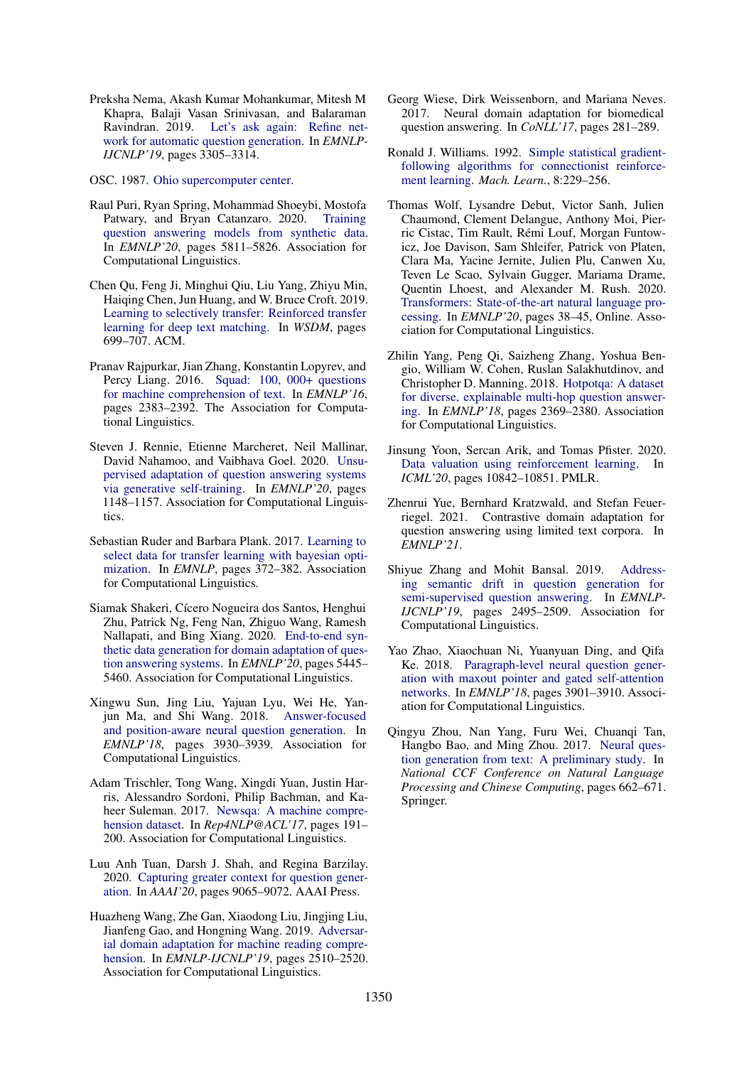<span id="page-10-12"></span>Preksha Nema, Akash Kumar Mohankumar, Mitesh M Khapra, Balaji Vasan Srinivasan, and Balaraman Ravindran. 2019. [Let's ask again: Refine net](https://www.aclweb.org/anthology/D19-1326.pdf)[work for automatic question generation.](https://www.aclweb.org/anthology/D19-1326.pdf) In *EMNLP-IJCNLP'19*, pages 3305–3314.

<span id="page-10-20"></span>OSC. 1987. [Ohio supercomputer center.](http://osc.edu/ark:/19495/f5s1ph73)

- <span id="page-10-1"></span>Raul Puri, Ryan Spring, Mohammad Shoeybi, Mostofa Patwary, and Bryan Catanzaro. 2020. [Training](https://www.aclweb.org/anthology/2020.emnlp-main.468/) [question answering models from synthetic data.](https://www.aclweb.org/anthology/2020.emnlp-main.468/) In *EMNLP'20*, pages 5811–5826. Association for Computational Linguistics.
- <span id="page-10-16"></span>Chen Qu, Feng Ji, Minghui Qiu, Liu Yang, Zhiyu Min, Haiqing Chen, Jun Huang, and W. Bruce Croft. 2019. [Learning to selectively transfer: Reinforced transfer](https://doi.org/10.1145/3289600.3290978) [learning for deep text matching.](https://doi.org/10.1145/3289600.3290978) In *WSDM*, pages 699–707. ACM.
- <span id="page-10-18"></span>Pranav Rajpurkar, Jian Zhang, Konstantin Lopyrev, and Percy Liang. 2016. [Squad: 100, 000+ questions](https://doi.org/10.18653/v1/d16-1264) [for machine comprehension of text.](https://doi.org/10.18653/v1/d16-1264) In *EMNLP'16*, pages 2383–2392. The Association for Computational Linguistics.
- <span id="page-10-4"></span>Steven J. Rennie, Etienne Marcheret, Neil Mallinar, David Nahamoo, and Vaibhava Goel. 2020. [Unsu](https://www.aclweb.org/anthology/2020.emnlp-main.87/)[pervised adaptation of question answering systems](https://www.aclweb.org/anthology/2020.emnlp-main.87/) [via generative self-training.](https://www.aclweb.org/anthology/2020.emnlp-main.87/) In *EMNLP'20*, pages 1148–1157. Association for Computational Linguistics.
- <span id="page-10-15"></span>Sebastian Ruder and Barbara Plank. 2017. [Learning to](https://doi.org/10.18653/v1/d17-1038) [select data for transfer learning with bayesian opti](https://doi.org/10.18653/v1/d17-1038)[mization.](https://doi.org/10.18653/v1/d17-1038) In *EMNLP*, pages 372–382. Association for Computational Linguistics.
- <span id="page-10-3"></span>Siamak Shakeri, Cícero Nogueira dos Santos, Henghui Zhu, Patrick Ng, Feng Nan, Zhiguo Wang, Ramesh Nallapati, and Bing Xiang. 2020. [End-to-end syn](https://www.aclweb.org/anthology/2020.emnlp-main.439/)[thetic data generation for domain adaptation of ques](https://www.aclweb.org/anthology/2020.emnlp-main.439/)[tion answering systems.](https://www.aclweb.org/anthology/2020.emnlp-main.439/) In *EMNLP'20*, pages 5445– 5460. Association for Computational Linguistics.
- <span id="page-10-10"></span>Xingwu Sun, Jing Liu, Yajuan Lyu, Wei He, Yanjun Ma, and Shi Wang. 2018. [Answer-focused](https://doi.org/10.18653/v1/d18-1427) [and position-aware neural question generation.](https://doi.org/10.18653/v1/d18-1427) In *EMNLP'18*, pages 3930–3939. Association for Computational Linguistics.
- <span id="page-10-6"></span>Adam Trischler, Tong Wang, Xingdi Yuan, Justin Harris, Alessandro Sordoni, Philip Bachman, and Kaheer Suleman. 2017. [Newsqa: A machine compre](https://doi.org/10.18653/v1/w17-2623)[hension dataset.](https://doi.org/10.18653/v1/w17-2623) In *Rep4NLP@ACL'17*, pages 191– 200. Association for Computational Linguistics.
- <span id="page-10-13"></span>Luu Anh Tuan, Darsh J. Shah, and Regina Barzilay. 2020. [Capturing greater context for question gener](https://aaai.org/ojs/index.php/AAAI/article/view/6440)[ation.](https://aaai.org/ojs/index.php/AAAI/article/view/6440) In *AAAI'20*, pages 9065–9072. AAAI Press.
- <span id="page-10-0"></span>Huazheng Wang, Zhe Gan, Xiaodong Liu, Jingjing Liu, Jianfeng Gao, and Hongning Wang. 2019. [Adversar](https://doi.org/10.18653/v1/D19-1254)[ial domain adaptation for machine reading compre](https://doi.org/10.18653/v1/D19-1254)[hension.](https://doi.org/10.18653/v1/D19-1254) In *EMNLP-IJCNLP'19*, pages 2510–2520. Association for Computational Linguistics.
- <span id="page-10-8"></span>Georg Wiese, Dirk Weissenborn, and Mariana Neves. 2017. Neural domain adaptation for biomedical question answering. In *CoNLL'17*, pages 281–289.
- <span id="page-10-5"></span>Ronald J. Williams. 1992. [Simple statistical gradient](https://doi.org/10.1007/BF00992696)[following algorithms for connectionist reinforce](https://doi.org/10.1007/BF00992696)[ment learning.](https://doi.org/10.1007/BF00992696) *Mach. Learn.*, 8:229–256.
- <span id="page-10-19"></span>Thomas Wolf, Lysandre Debut, Victor Sanh, Julien Chaumond, Clement Delangue, Anthony Moi, Pierric Cistac, Tim Rault, Rémi Louf, Morgan Funtowicz, Joe Davison, Sam Shleifer, Patrick von Platen, Clara Ma, Yacine Jernite, Julien Plu, Canwen Xu, Teven Le Scao, Sylvain Gugger, Mariama Drame, Quentin Lhoest, and Alexander M. Rush. 2020. [Transformers: State-of-the-art natural language pro](https://www.aclweb.org/anthology/2020.emnlp-demos.6)[cessing.](https://www.aclweb.org/anthology/2020.emnlp-demos.6) In *EMNLP'20*, pages 38–45, Online. Association for Computational Linguistics.
- <span id="page-10-7"></span>Zhilin Yang, Peng Qi, Saizheng Zhang, Yoshua Bengio, William W. Cohen, Ruslan Salakhutdinov, and Christopher D. Manning. 2018. [Hotpotqa: A dataset](https://doi.org/10.18653/v1/d18-1259) [for diverse, explainable multi-hop question answer](https://doi.org/10.18653/v1/d18-1259)[ing.](https://doi.org/10.18653/v1/d18-1259) In *EMNLP'18*, pages 2369–2380. Association for Computational Linguistics.
- <span id="page-10-17"></span>Jinsung Yoon, Sercan Arik, and Tomas Pfister. 2020. [Data valuation using reinforcement learning.](http://proceedings.mlr.press/v119/yoon20a/yoon20a.pdf) In *ICML'20*, pages 10842–10851. PMLR.
- <span id="page-10-2"></span>Zhenrui Yue, Bernhard Kratzwald, and Stefan Feuerriegel. 2021. Contrastive domain adaptation for question answering using limited text corpora. In *EMNLP'21*.
- <span id="page-10-14"></span>Shiyue Zhang and Mohit Bansal. 2019. [Address](https://doi.org/10.18653/v1/D19-1253)[ing semantic drift in question generation for](https://doi.org/10.18653/v1/D19-1253) [semi-supervised question answering.](https://doi.org/10.18653/v1/D19-1253) In *EMNLP-IJCNLP'19*, pages 2495–2509. Association for Computational Linguistics.
- <span id="page-10-11"></span>Yao Zhao, Xiaochuan Ni, Yuanyuan Ding, and Qifa Ke. 2018. [Paragraph-level neural question gener](https://doi.org/10.18653/v1/d18-1424)[ation with maxout pointer and gated self-attention](https://doi.org/10.18653/v1/d18-1424) [networks.](https://doi.org/10.18653/v1/d18-1424) In *EMNLP'18*, pages 3901–3910. Association for Computational Linguistics.
- <span id="page-10-9"></span>Qingyu Zhou, Nan Yang, Furu Wei, Chuanqi Tan, Hangbo Bao, and Ming Zhou. 2017. [Neural ques](https://doi.org/10.1007/978-3-319-73618-1_56)[tion generation from text: A preliminary study.](https://doi.org/10.1007/978-3-319-73618-1_56) In *National CCF Conference on Natural Language Processing and Chinese Computing*, pages 662–671. Springer.